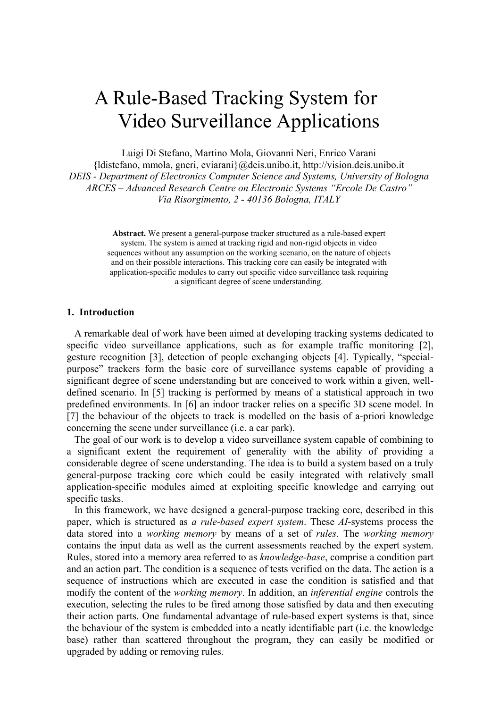# A Rule-Based Tracking System for Video Surveillance Applications

Luigi Di Stefano, Martino Mola, Giovanni Neri, Enrico Varani

**{**ldistefano, mmola, gneri, eviarani}@deis.unibo.it, http://vision.deis.unibo.it *DEIS - Department of Electronics Computer Science and Systems, University of Bologna ARCES – Advanced Research Centre on Electronic Systems "Ercole De Castro" Via Risorgimento, 2 - 40136 Bologna, ITALY* 

> **Abstract.** We present a general-purpose tracker structured as a rule-based expert system. The system is aimed at tracking rigid and non-rigid objects in video sequences without any assumption on the working scenario, on the nature of objects and on their possible interactions. This tracking core can easily be integrated with application-specific modules to carry out specific video surveillance task requiring a significant degree of scene understanding.

#### **1. Introduction**

 A remarkable deal of work have been aimed at developing tracking systems dedicated to specific video surveillance applications, such as for example traffic monitoring [2], gesture recognition [3], detection of people exchanging objects [4]. Typically, "specialpurpose" trackers form the basic core of surveillance systems capable of providing a significant degree of scene understanding but are conceived to work within a given, welldefined scenario. In [5] tracking is performed by means of a statistical approach in two predefined environments. In [6] an indoor tracker relies on a specific 3D scene model. In [7] the behaviour of the objects to track is modelled on the basis of a-priori knowledge concerning the scene under surveillance (i.e. a car park).

 The goal of our work is to develop a video surveillance system capable of combining to a significant extent the requirement of generality with the ability of providing a considerable degree of scene understanding. The idea is to build a system based on a truly general-purpose tracking core which could be easily integrated with relatively small application-specific modules aimed at exploiting specific knowledge and carrying out specific tasks.

 In this framework, we have designed a general-purpose tracking core, described in this paper, which is structured as *a rule-based expert system*. These *AI*-systems process the data stored into a *working memory* by means of a set of *rules*. The *working memory* contains the input data as well as the current assessments reached by the expert system. Rules, stored into a memory area referred to as *knowledge-base*, comprise a condition part and an action part. The condition is a sequence of tests verified on the data. The action is a sequence of instructions which are executed in case the condition is satisfied and that modify the content of the *working memory*. In addition, an *inferential engine* controls the execution, selecting the rules to be fired among those satisfied by data and then executing their action parts. One fundamental advantage of rule-based expert systems is that, since the behaviour of the system is embedded into a neatly identifiable part (i.e. the knowledge base) rather than scattered throughout the program, they can easily be modified or upgraded by adding or removing rules.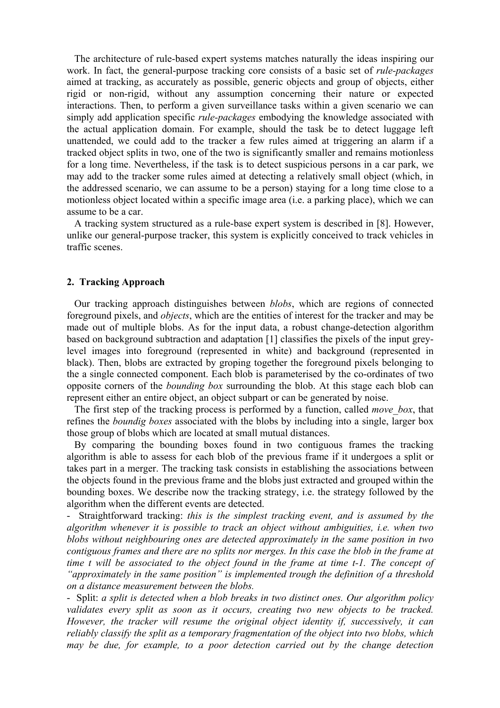The architecture of rule-based expert systems matches naturally the ideas inspiring our work. In fact, the general-purpose tracking core consists of a basic set of *rule-packages* aimed at tracking, as accurately as possible, generic objects and group of objects, either rigid or non-rigid, without any assumption concerning their nature or expected interactions. Then, to perform a given surveillance tasks within a given scenario we can simply add application specific *rule-packages* embodying the knowledge associated with the actual application domain. For example, should the task be to detect luggage left unattended, we could add to the tracker a few rules aimed at triggering an alarm if a tracked object splits in two, one of the two is significantly smaller and remains motionless for a long time. Nevertheless, if the task is to detect suspicious persons in a car park, we may add to the tracker some rules aimed at detecting a relatively small object (which, in the addressed scenario, we can assume to be a person) staying for a long time close to a motionless object located within a specific image area (i.e. a parking place), which we can assume to be a car.

 A tracking system structured as a rule-base expert system is described in [8]. However, unlike our general-purpose tracker, this system is explicitly conceived to track vehicles in traffic scenes.

#### **2. Tracking Approach**

 Our tracking approach distinguishes between *blobs*, which are regions of connected foreground pixels, and *objects*, which are the entities of interest for the tracker and may be made out of multiple blobs. As for the input data, a robust change-detection algorithm based on background subtraction and adaptation [1] classifies the pixels of the input greylevel images into foreground (represented in white) and background (represented in black). Then, blobs are extracted by groping together the foreground pixels belonging to the a single connected component. Each blob is parameterised by the co-ordinates of two opposite corners of the *bounding box* surrounding the blob. At this stage each blob can represent either an entire object, an object subpart or can be generated by noise.

 The first step of the tracking process is performed by a function, called *move\_box*, that refines the *boundig boxes* associated with the blobs by including into a single, larger box those group of blobs which are located at small mutual distances.

 By comparing the bounding boxes found in two contiguous frames the tracking algorithm is able to assess for each blob of the previous frame if it undergoes a split or takes part in a merger. The tracking task consists in establishing the associations between the objects found in the previous frame and the blobs just extracted and grouped within the bounding boxes. We describe now the tracking strategy, i.e. the strategy followed by the algorithm when the different events are detected.

- Straightforward tracking: *this is the simplest tracking event, and is assumed by the algorithm whenever it is possible to track an object without ambiguities, i.e. when two blobs without neighbouring ones are detected approximately in the same position in two contiguous frames and there are no splits nor merges. In this case the blob in the frame at time t will be associated to the object found in the frame at time t-1. The concept of "approximately in the same position" is implemented trough the definition of a threshold on a distance measurement between the blobs.*

- Split: *a split is detected when a blob breaks in two distinct ones. Our algorithm policy*  validates every split as soon as it occurs, creating two new objects to be tracked. *However, the tracker will resume the original object identity if, successively, it can reliably classify the split as a temporary fragmentation of the object into two blobs, which may be due, for example, to a poor detection carried out by the change detection*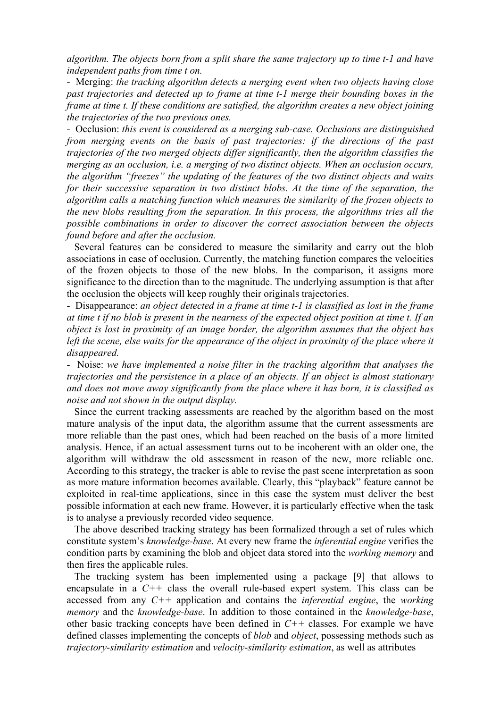*algorithm. The objects born from a split share the same trajectory up to time t-1 and have independent paths from time t on.*

- Merging: *the tracking algorithm detects a merging event when two objects having close past trajectories and detected up to frame at time t-1 merge their bounding boxes in the frame at time t. If these conditions are satisfied, the algorithm creates a new object joining the trajectories of the two previous ones.*

- Occlusion: *this event is considered as a merging sub-case. Occlusions are distinguished from merging events on the basis of past trajectories: if the directions of the past trajectories of the two merged objects differ significantly, then the algorithm classifies the merging as an occlusion, i.e. a merging of two distinct objects. When an occlusion occurs, the algorithm "freezes" the updating of the features of the two distinct objects and waits*  for their successive separation in two distinct blobs. At the time of the separation, the *algorithm calls a matching function which measures the similarity of the frozen objects to the new blobs resulting from the separation. In this process, the algorithms tries all the possible combinations in order to discover the correct association between the objects found before and after the occlusion.* 

 Several features can be considered to measure the similarity and carry out the blob associations in case of occlusion. Currently, the matching function compares the velocities of the frozen objects to those of the new blobs. In the comparison, it assigns more significance to the direction than to the magnitude. The underlying assumption is that after the occlusion the objects will keep roughly their originals trajectories.

- Disappearance: *an object detected in a frame at time t-1 is classified as lost in the frame at time t if no blob is present in the nearness of the expected object position at time t. If an object is lost in proximity of an image border, the algorithm assumes that the object has*  left the scene, else waits for the appearance of the object in proximity of the place where it *disappeared.*

- Noise: *we have implemented a noise filter in the tracking algorithm that analyses the trajectories and the persistence in a place of an objects. If an object is almost stationary and does not move away significantly from the place where it has born, it is classified as noise and not shown in the output display.*

 Since the current tracking assessments are reached by the algorithm based on the most mature analysis of the input data, the algorithm assume that the current assessments are more reliable than the past ones, which had been reached on the basis of a more limited analysis. Hence, if an actual assessment turns out to be incoherent with an older one, the algorithm will withdraw the old assessment in reason of the new, more reliable one. According to this strategy, the tracker is able to revise the past scene interpretation as soon as more mature information becomes available. Clearly, this "playback" feature cannot be exploited in real-time applications, since in this case the system must deliver the best possible information at each new frame. However, it is particularly effective when the task is to analyse a previously recorded video sequence.

 The above described tracking strategy has been formalized through a set of rules which constitute system's *knowledge-base*. At every new frame the *inferential engine* verifies the condition parts by examining the blob and object data stored into the *working memory* and then fires the applicable rules.

 The tracking system has been implemented using a package [9] that allows to encapsulate in a *C++* class the overall rule-based expert system. This class can be accessed from any *C++* application and contains the *inferential engine*, the *working memory* and the *knowledge-base*. In addition to those contained in the *knowledge-base*, other basic tracking concepts have been defined in *C++* classes. For example we have defined classes implementing the concepts of *blob* and *object*, possessing methods such as *trajectory-similarity estimation* and *velocity-similarity estimation*, as well as attributes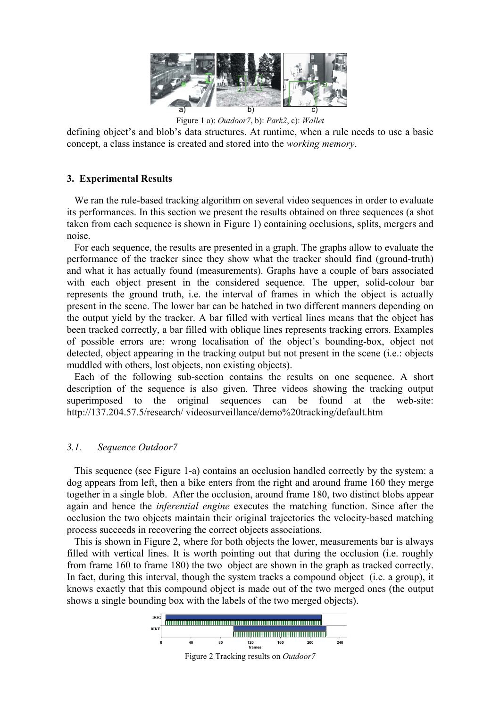

Figure 1 a): *Outdoor7*, b): *Park2*, c): *Wallet*

defining object's and blob's data structures. At runtime, when a rule needs to use a basic concept, a class instance is created and stored into the *working memory*.

# **3. Experimental Results**

 We ran the rule-based tracking algorithm on several video sequences in order to evaluate its performances. In this section we present the results obtained on three sequences (a shot taken from each sequence is shown in Figure 1) containing occlusions, splits, mergers and noise.

 For each sequence, the results are presented in a graph. The graphs allow to evaluate the performance of the tracker since they show what the tracker should find (ground-truth) and what it has actually found (measurements). Graphs have a couple of bars associated with each object present in the considered sequence. The upper, solid-colour bar represents the ground truth, i.e. the interval of frames in which the object is actually present in the scene. The lower bar can be hatched in two different manners depending on the output yield by the tracker. A bar filled with vertical lines means that the object has been tracked correctly, a bar filled with oblique lines represents tracking errors. Examples of possible errors are: wrong localisation of the object's bounding-box, object not detected, object appearing in the tracking output but not present in the scene (i.e.: objects muddled with others, lost objects, non existing objects).

 Each of the following sub-section contains the results on one sequence. A short description of the sequence is also given. Three videos showing the tracking output superimposed to the original sequences can be found at the web-site: http://137.204.57.5/research/ videosurveillance/demo%20tracking/default.htm

# *3.1. Sequence Outdoor7*

 This sequence (see Figure 1-a) contains an occlusion handled correctly by the system: a dog appears from left, then a bike enters from the right and around frame 160 they merge together in a single blob. After the occlusion, around frame 180, two distinct blobs appear again and hence the *inferential engine* executes the matching function. Since after the occlusion the two objects maintain their original trajectories the velocity-based matching process succeeds in recovering the correct objects associations.

 This is shown in Figure 2, where for both objects the lower, measurements bar is always filled with vertical lines. It is worth pointing out that during the occlusion (i.e. roughly from frame 160 to frame 180) the two object are shown in the graph as tracked correctly. In fact, during this interval, though the system tracks a compound object (i.e. a group), it knows exactly that this compound object is made out of the two merged ones (the output shows a single bounding box with the labels of the two merged objects).

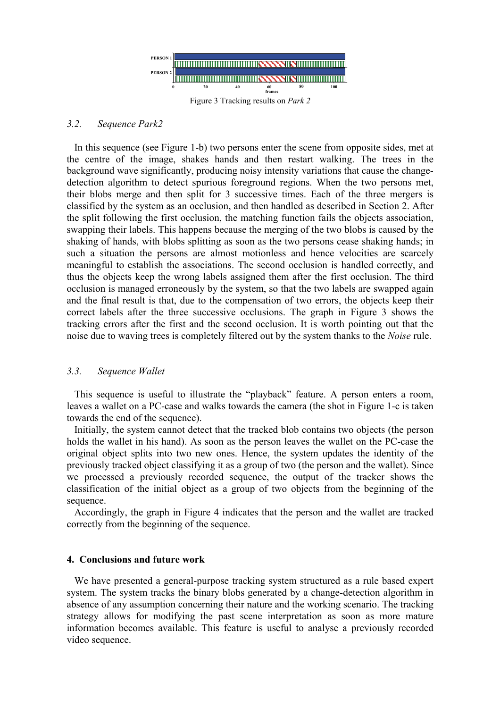

#### *3.2. Sequence Park2*

 In this sequence (see Figure 1-b) two persons enter the scene from opposite sides, met at the centre of the image, shakes hands and then restart walking. The trees in the background wave significantly, producing noisy intensity variations that cause the changedetection algorithm to detect spurious foreground regions. When the two persons met, their blobs merge and then split for 3 successive times. Each of the three mergers is classified by the system as an occlusion, and then handled as described in Section 2. After the split following the first occlusion, the matching function fails the objects association, swapping their labels. This happens because the merging of the two blobs is caused by the shaking of hands, with blobs splitting as soon as the two persons cease shaking hands; in such a situation the persons are almost motionless and hence velocities are scarcely meaningful to establish the associations. The second occlusion is handled correctly, and thus the objects keep the wrong labels assigned them after the first occlusion. The third occlusion is managed erroneously by the system, so that the two labels are swapped again and the final result is that, due to the compensation of two errors, the objects keep their correct labels after the three successive occlusions. The graph in Figure 3 shows the tracking errors after the first and the second occlusion. It is worth pointing out that the noise due to waving trees is completely filtered out by the system thanks to the *Noise* rule.

# *3.3. Sequence Wallet*

 This sequence is useful to illustrate the "playback" feature. A person enters a room, leaves a wallet on a PC-case and walks towards the camera (the shot in Figure 1-c is taken towards the end of the sequence).

 Initially, the system cannot detect that the tracked blob contains two objects (the person holds the wallet in his hand). As soon as the person leaves the wallet on the PC-case the original object splits into two new ones. Hence, the system updates the identity of the previously tracked object classifying it as a group of two (the person and the wallet). Since we processed a previously recorded sequence, the output of the tracker shows the classification of the initial object as a group of two objects from the beginning of the sequence.

 Accordingly, the graph in Figure 4 indicates that the person and the wallet are tracked correctly from the beginning of the sequence.

# **4. Conclusions and future work**

 We have presented a general-purpose tracking system structured as a rule based expert system. The system tracks the binary blobs generated by a change-detection algorithm in absence of any assumption concerning their nature and the working scenario. The tracking strategy allows for modifying the past scene interpretation as soon as more mature information becomes available. This feature is useful to analyse a previously recorded video sequence.